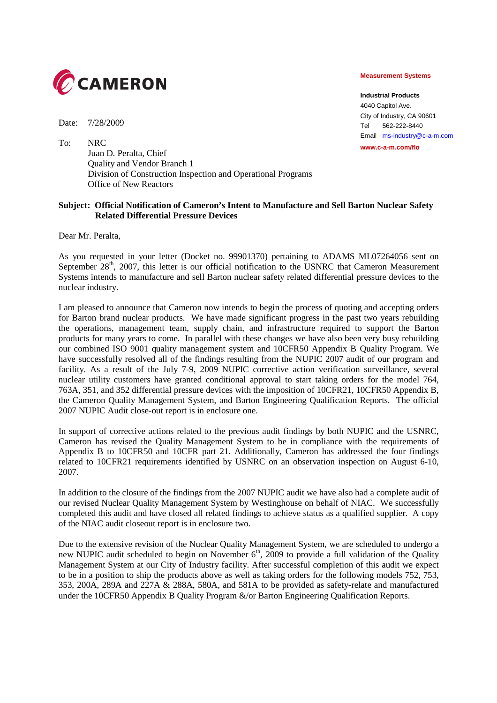

Date: 7/28/2009

To: NRC Juan D. Peralta, Chief Quality and Vendor Branch 1 Division of Construction Inspection and Operational Programs Office of New Reactors

## **Subject: Official Notification of Cameron's Intent to Manufacture and Sell Barton Nuclear Safety Related Differential Pressure Devices**

Dear Mr. Peralta,

As you requested in your letter (Docket no. 99901370) pertaining to ADAMS ML07264056 sent on September 28<sup>th</sup>, 2007, this letter is our official notification to the USNRC that Cameron Measurement Systems intends to manufacture and sell Barton nuclear safety related differential pressure devices to the nuclear industry.

I am pleased to announce that Cameron now intends to begin the process of quoting and accepting orders for Barton brand nuclear products. We have made significant progress in the past two years rebuilding the operations, management team, supply chain, and infrastructure required to support the Barton products for many years to come. In parallel with these changes we have also been very busy rebuilding our combined ISO 9001 quality management system and 10CFR50 Appendix B Quality Program. We have successfully resolved all of the findings resulting from the NUPIC 2007 audit of our program and facility. As a result of the July 7-9, 2009 NUPIC corrective action verification surveillance, several nuclear utility customers have granted conditional approval to start taking orders for the model 764, 763A, 351, and 352 differential pressure devices with the imposition of 10CFR21, 10CFR50 Appendix B, the Cameron Quality Management System, and Barton Engineering Qualification Reports. The official 2007 NUPIC Audit close-out report is in enclosure one.

In support of corrective actions related to the previous audit findings by both NUPIC and the USNRC, Cameron has revised the Quality Management System to be in compliance with the requirements of Appendix B to 10CFR50 and 10CFR part 21. Additionally, Cameron has addressed the four findings related to 10CFR21 requirements identified by USNRC on an observation inspection on August 6-10, 2007.

In addition to the closure of the findings from the 2007 NUPIC audit we have also had a complete audit of our revised Nuclear Quality Management System by Westinghouse on behalf of NIAC. We successfully completed this audit and have closed all related findings to achieve status as a qualified supplier. A copy of the NIAC audit closeout report is in enclosure two.

Due to the extensive revision of the Nuclear Quality Management System, we are scheduled to undergo a new NUPIC audit scheduled to begin on November  $6<sup>th</sup>$ , 2009 to provide a full validation of the Quality Management System at our City of Industry facility. After successful completion of this audit we expect to be in a position to ship the products above as well as taking orders for the following models 752, 753, 353, 200A, 289A and 227A & 288A, 580A, and 581A to be provided as safety-relate and manufactured under the 10CFR50 Appendix B Quality Program &/or Barton Engineering Qualification Reports.

## **Measurement Systems**

**Industrial Products** 4040 Capitol Ave. City of Industry, CA 90601 Tel 562-222-8440 Email ms-industry@c-a-m.com **www.c-a-m.com/flo**